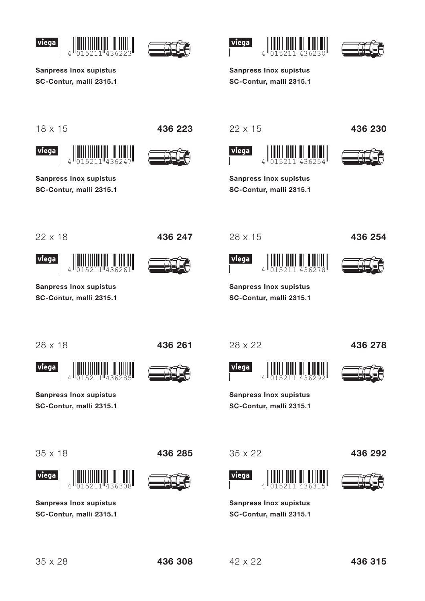





**Sanpress Inox supistus** SC-Contur, malli 2315.1

 $4^{\text{II}}$ 

**Sanpress Inox supistus** 

SC-Contur, malli 2315.1





**Sanpress Inox supistus** SC-Contur, malli 2315.1

 $18 \times 15$ 

viega





436 223

 $22 \times 15$ 





436 230

**Sanpress Inox supistus** SC-Contur, malli 2315.1

 $22 \times 18$ 

436 247





**Sanpress Inox supistus** SC-Contur, malli 2315.1

 $\overline{4}$ 

viega

28 x 22

 $\overline{\mathcal{L}}$ 

**Sanpress Inox supistus** 

SC-Contur, malli 2315.1

viega

 $28 \times 15$ 



436 254

**Sanpress Inox supistus** SC-Contur, malli 2315.1

436 278

28 x 18

436 261





**Sanpress Inox supistus** 

SC-Contur, malli 2315.1

 $\Delta$ 

 $35 \times 18$ 



**Sanpress Inox supistus** SC-Contur, malli 2315.1  $35 \times 22$ 





436 292

**Sanpress Inox supistus** SC-Contur, malli 2315.1

436 285